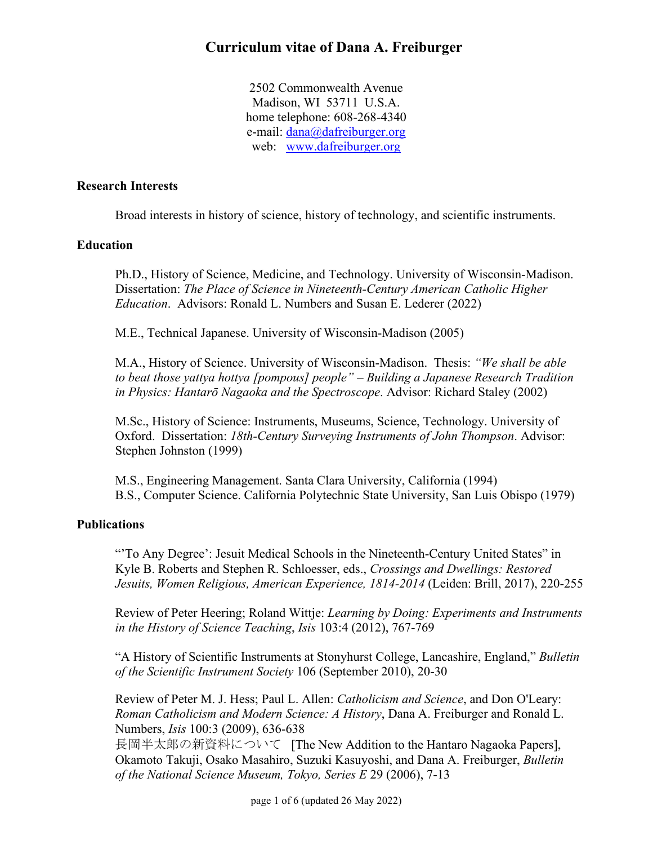2502 Commonwealth Avenue Madison, WI 53711 U.S.A. home telephone: 608-268-4340 e-mail: dana@dafreiburger.org web: www.dafreiburger.org

### **Research Interests**

Broad interests in history of science, history of technology, and scientific instruments.

### **Education**

Ph.D., History of Science, Medicine, and Technology. University of Wisconsin-Madison. Dissertation: *The Place of Science in Nineteenth-Century American Catholic Higher Education*. Advisors: Ronald L. Numbers and Susan E. Lederer (2022)

M.E., Technical Japanese. University of Wisconsin-Madison (2005)

M.A., History of Science. University of Wisconsin-Madison. Thesis: *"We shall be able to beat those yattya hottya [pompous] people" – Building a Japanese Research Tradition in Physics: Hantarō Nagaoka and the Spectroscope*. Advisor: Richard Staley (2002)

M.Sc., History of Science: Instruments, Museums, Science, Technology. University of Oxford. Dissertation: *18th-Century Surveying Instruments of John Thompson*. Advisor: Stephen Johnston (1999)

M.S., Engineering Management. Santa Clara University, California (1994) B.S., Computer Science. California Polytechnic State University, San Luis Obispo (1979)

### **Publications**

"'To Any Degree': Jesuit Medical Schools in the Nineteenth-Century United States" in Kyle B. Roberts and Stephen R. Schloesser, eds., *Crossings and Dwellings: Restored Jesuits, Women Religious, American Experience, 1814-2014* (Leiden: Brill, 2017), 220-255

Review of Peter Heering; Roland Wittje: *Learning by Doing: Experiments and Instruments in the History of Science Teaching*, *Isis* 103:4 (2012), 767-769

"A History of Scientific Instruments at Stonyhurst College, Lancashire, England," *Bulletin of the Scientific Instrument Society* 106 (September 2010), 20-30

Review of Peter M. J. Hess; Paul L. Allen: *Catholicism and Science*, and Don O'Leary: *Roman Catholicism and Modern Science: A History*, Dana A. Freiburger and Ronald L. Numbers, *Isis* 100:3 (2009), 636-638

長岡半太郎の新資料について [The New Addition to the Hantaro Nagaoka Papers], Okamoto Takuji, Osako Masahiro, Suzuki Kasuyoshi, and Dana A. Freiburger, *Bulletin of the National Science Museum, Tokyo, Series E* 29 (2006), 7-13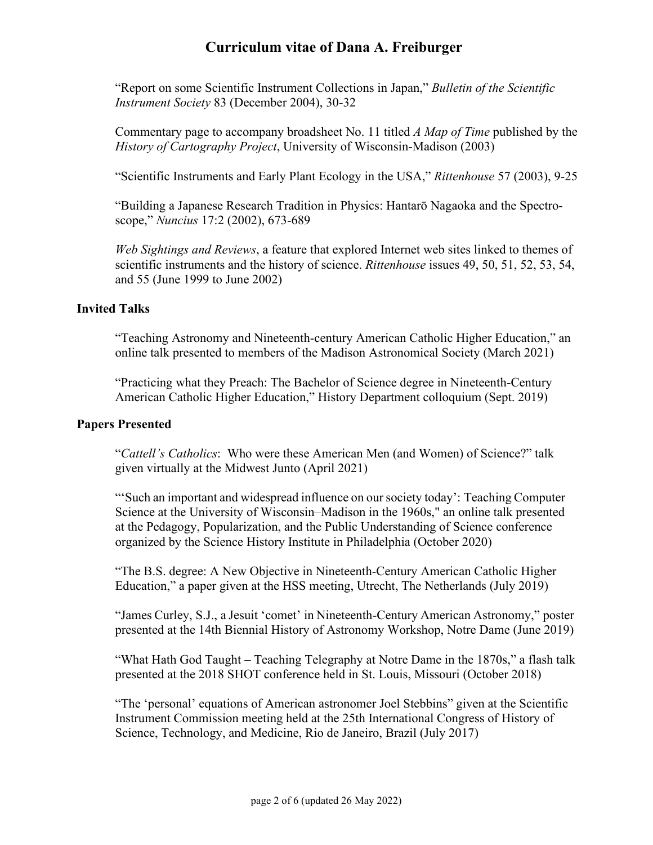"Report on some Scientific Instrument Collections in Japan," *Bulletin of the Scientific Instrument Society* 83 (December 2004), 30-32

Commentary page to accompany broadsheet No. 11 titled *A Map of Time* published by the *History of Cartography Project*, University of Wisconsin-Madison (2003)

"Scientific Instruments and Early Plant Ecology in the USA," *Rittenhouse* 57 (2003), 9-25

"Building a Japanese Research Tradition in Physics: Hantarō Nagaoka and the Spectroscope," *Nuncius* 17:2 (2002), 673-689

*Web Sightings and Reviews*, a feature that explored Internet web sites linked to themes of scientific instruments and the history of science. *Rittenhouse* issues 49, 50, 51, 52, 53, 54, and 55 (June 1999 to June 2002)

### **Invited Talks**

"Teaching Astronomy and Nineteenth-century American Catholic Higher Education," an online talk presented to members of the Madison Astronomical Society (March 2021)

"Practicing what they Preach: The Bachelor of Science degree in Nineteenth-Century American Catholic Higher Education," History Department colloquium (Sept. 2019)

### **Papers Presented**

"*Cattell's Catholics*: Who were these American Men (and Women) of Science?" talk given virtually at the Midwest Junto (April 2021)

"'Such an important and widespread influence on oursociety today': Teaching Computer Science at the University of Wisconsin–Madison in the 1960s," an online talk presented at the Pedagogy, Popularization, and the Public Understanding of Science conference organized by the Science History Institute in Philadelphia (October 2020)

"The B.S. degree: A New Objective in Nineteenth-Century American Catholic Higher Education," a paper given at the HSS meeting, Utrecht, The Netherlands (July 2019)

"James Curley, S.J., a Jesuit 'comet' in Nineteenth-Century American Astronomy," poster presented at the 14th Biennial History of Astronomy Workshop, Notre Dame (June 2019)

"What Hath God Taught – Teaching Telegraphy at Notre Dame in the 1870s," a flash talk presented at the 2018 SHOT conference held in St. Louis, Missouri (October 2018)

"The 'personal' equations of American astronomer Joel Stebbins" given at the Scientific Instrument Commission meeting held at the 25th International Congress of History of Science, Technology, and Medicine, Rio de Janeiro, Brazil (July 2017)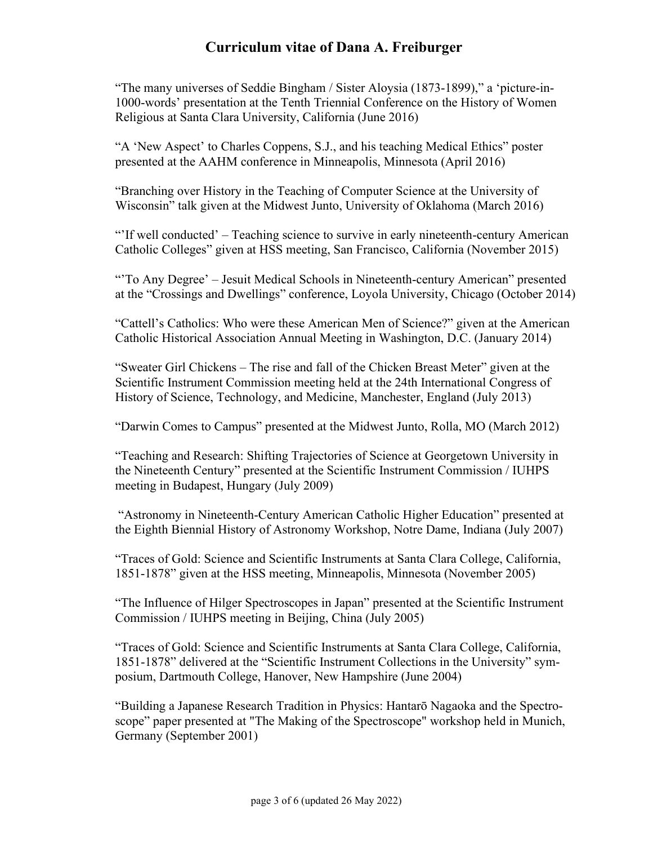"The many universes of Seddie Bingham / Sister Aloysia (1873-1899)," a 'picture-in-1000-words' presentation at the Tenth Triennial Conference on the History of Women Religious at Santa Clara University, California (June 2016)

"A 'New Aspect' to Charles Coppens, S.J., and his teaching Medical Ethics" poster presented at the AAHM conference in Minneapolis, Minnesota (April 2016)

"Branching over History in the Teaching of Computer Science at the University of Wisconsin" talk given at the Midwest Junto, University of Oklahoma (March 2016)

"'If well conducted' – Teaching science to survive in early nineteenth-century American Catholic Colleges" given at HSS meeting, San Francisco, California (November 2015)

"'To Any Degree' – Jesuit Medical Schools in Nineteenth-century American" presented at the "Crossings and Dwellings" conference, Loyola University, Chicago (October 2014)

"Cattell's Catholics: Who were these American Men of Science?" given at the American Catholic Historical Association Annual Meeting in Washington, D.C. (January 2014)

"Sweater Girl Chickens – The rise and fall of the Chicken Breast Meter" given at the Scientific Instrument Commission meeting held at the 24th International Congress of History of Science, Technology, and Medicine, Manchester, England (July 2013)

"Darwin Comes to Campus" presented at the Midwest Junto, Rolla, MO (March 2012)

"Teaching and Research: Shifting Trajectories of Science at Georgetown University in the Nineteenth Century" presented at the Scientific Instrument Commission / IUHPS meeting in Budapest, Hungary (July 2009)

"Astronomy in Nineteenth-Century American Catholic Higher Education" presented at the Eighth Biennial History of Astronomy Workshop, Notre Dame, Indiana (July 2007)

"Traces of Gold: Science and Scientific Instruments at Santa Clara College, California, 1851-1878" given at the HSS meeting, Minneapolis, Minnesota (November 2005)

"The Influence of Hilger Spectroscopes in Japan" presented at the Scientific Instrument Commission / IUHPS meeting in Beijing, China (July 2005)

"Traces of Gold: Science and Scientific Instruments at Santa Clara College, California, 1851-1878" delivered at the "Scientific Instrument Collections in the University" symposium, Dartmouth College, Hanover, New Hampshire (June 2004)

"Building a Japanese Research Tradition in Physics: Hantarō Nagaoka and the Spectroscope" paper presented at "The Making of the Spectroscope" workshop held in Munich, Germany (September 2001)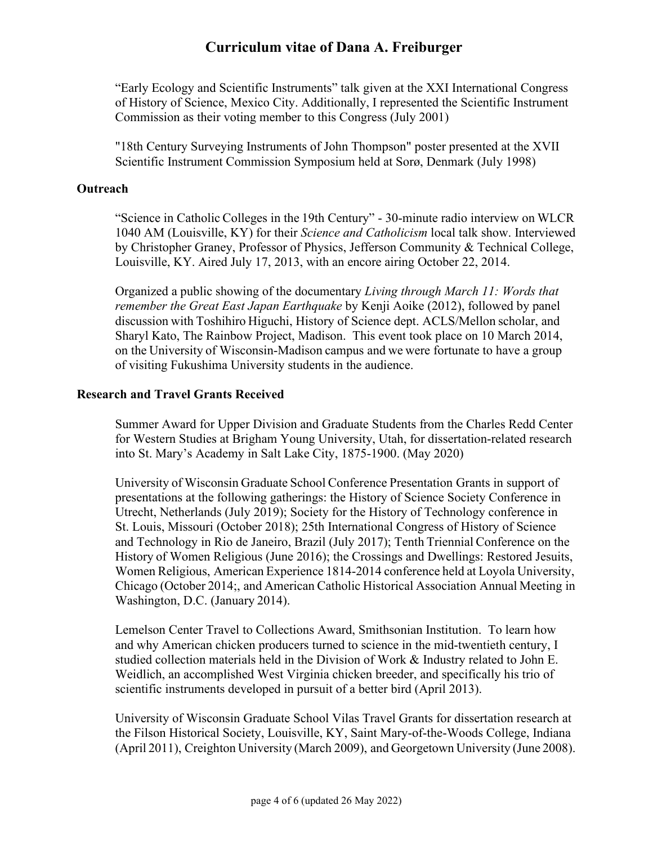"Early Ecology and Scientific Instruments" talk given at the XXI International Congress of History of Science, Mexico City. Additionally, I represented the Scientific Instrument Commission as their voting member to this Congress (July 2001)

"18th Century Surveying Instruments of John Thompson" poster presented at the XVII Scientific Instrument Commission Symposium held at Sorø, Denmark (July 1998)

### **Outreach**

"Science in Catholic Colleges in the 19th Century" - 30-minute radio interview on WLCR 1040 AM (Louisville, KY) for their *Science and Catholicism* local talk show. Interviewed by Christopher Graney, Professor of Physics, Jefferson Community & Technical College, Louisville, KY. Aired July 17, 2013, with an encore airing October 22, 2014.

Organized a public showing of the documentary *Living through March 11: Words that remember the Great East Japan Earthquake* by Kenji Aoike (2012), followed by panel discussion with Toshihiro Higuchi, History of Science dept. ACLS/Mellon scholar, and Sharyl Kato, The Rainbow Project, Madison. This event took place on 10 March 2014, on the University of Wisconsin-Madison campus and we were fortunate to have a group of visiting Fukushima University students in the audience.

### **Research and Travel Grants Received**

Summer Award for Upper Division and Graduate Students from the Charles Redd Center for Western Studies at Brigham Young University, Utah, for dissertation-related research into St. Mary's Academy in Salt Lake City, 1875-1900. (May 2020)

University of Wisconsin Graduate School Conference Presentation Grants in support of presentations at the following gatherings: the History of Science Society Conference in Utrecht, Netherlands (July 2019); Society for the History of Technology conference in St. Louis, Missouri (October 2018); 25th International Congress of History of Science and Technology in Rio de Janeiro, Brazil (July 2017); Tenth Triennial Conference on the History of Women Religious (June 2016); the Crossings and Dwellings: Restored Jesuits, Women Religious, American Experience 1814-2014 conference held at Loyola University, Chicago (October 2014;, and American Catholic Historical Association Annual Meeting in Washington, D.C. (January 2014).

Lemelson Center Travel to Collections Award, Smithsonian Institution. To learn how and why American chicken producers turned to science in the mid-twentieth century, I studied collection materials held in the Division of Work & Industry related to John E. Weidlich, an accomplished West Virginia chicken breeder, and specifically his trio of scientific instruments developed in pursuit of a better bird (April 2013).

University of Wisconsin Graduate School Vilas Travel Grants for dissertation research at the Filson Historical Society, Louisville, KY, Saint Mary-of-the-Woods College, Indiana (April 2011), Creighton University (March 2009), and Georgetown University (June 2008).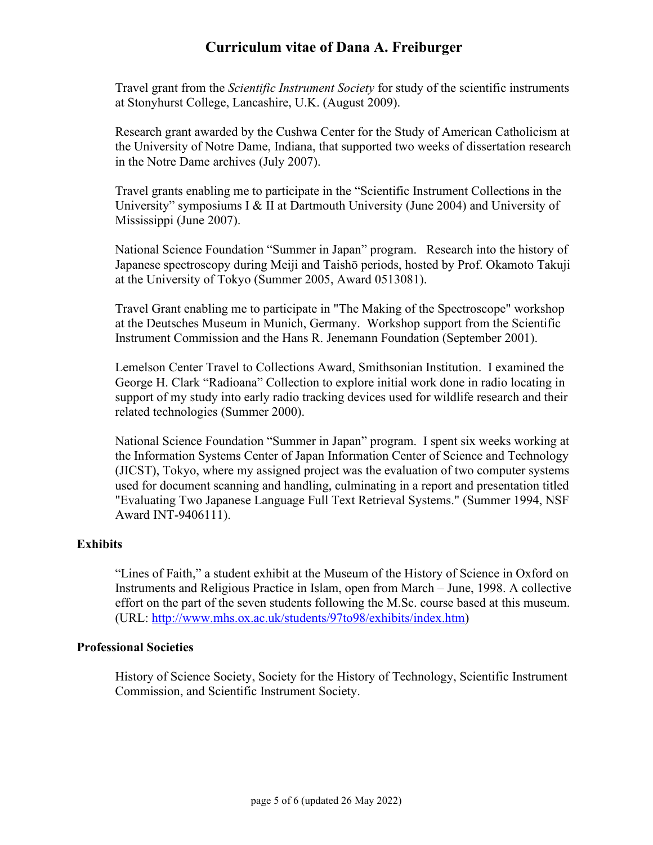Travel grant from the *Scientific Instrument Society* for study of the scientific instruments at Stonyhurst College, Lancashire, U.K. (August 2009).

Research grant awarded by the Cushwa Center for the Study of American Catholicism at the University of Notre Dame, Indiana, that supported two weeks of dissertation research in the Notre Dame archives (July 2007).

Travel grants enabling me to participate in the "Scientific Instrument Collections in the University" symposiums I & II at Dartmouth University (June 2004) and University of Mississippi (June 2007).

National Science Foundation "Summer in Japan" program. Research into the history of Japanese spectroscopy during Meiji and Taishō periods, hosted by Prof. Okamoto Takuji at the University of Tokyo (Summer 2005, Award 0513081).

Travel Grant enabling me to participate in "The Making of the Spectroscope" workshop at the Deutsches Museum in Munich, Germany. Workshop support from the Scientific Instrument Commission and the Hans R. Jenemann Foundation (September 2001).

Lemelson Center Travel to Collections Award, Smithsonian Institution. I examined the George H. Clark "Radioana" Collection to explore initial work done in radio locating in support of my study into early radio tracking devices used for wildlife research and their related technologies (Summer 2000).

National Science Foundation "Summer in Japan" program. I spent six weeks working at the Information Systems Center of Japan Information Center of Science and Technology (JICST), Tokyo, where my assigned project was the evaluation of two computer systems used for document scanning and handling, culminating in a report and presentation titled "Evaluating Two Japanese Language Full Text Retrieval Systems." (Summer 1994, NSF Award INT-9406111).

### **Exhibits**

"Lines of Faith," a student exhibit at the Museum of the History of Science in Oxford on Instruments and Religious Practice in Islam, open from March – June, 1998. A collective effort on the part of the seven students following the M.Sc. course based at this museum. (URL: http://www.mhs.ox.ac.uk/students/97to98/exhibits/index.htm)

### **Professional Societies**

History of Science Society, Society for the History of Technology, Scientific Instrument Commission, and Scientific Instrument Society.